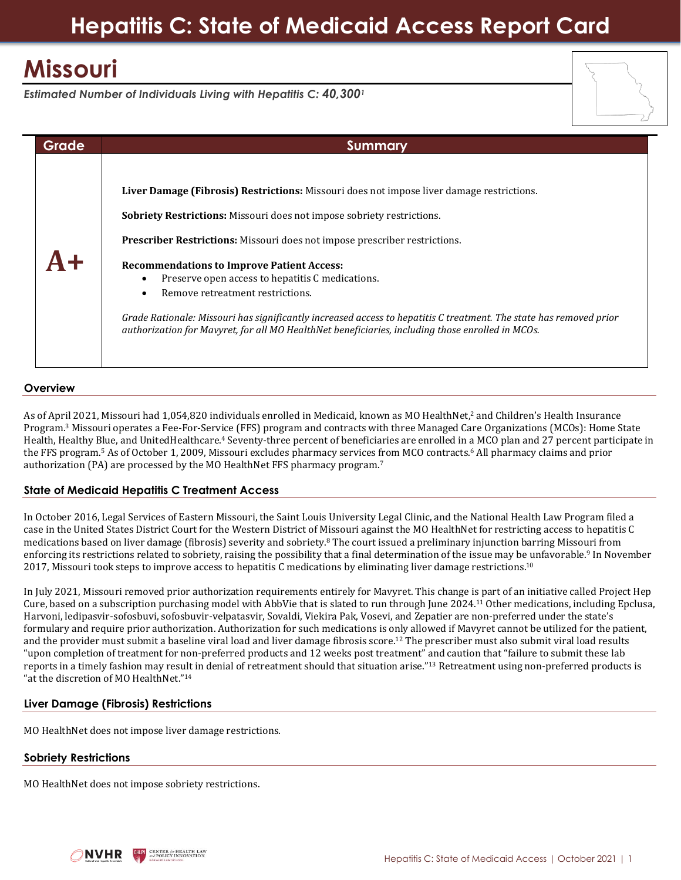# **Missouri**

*Estimated Number of Individuals Living with Hepatitis C: 40,300<sup>1</sup>*

| Grade | <b>Summary</b>                                                                                                                                                                                                                                                                                                                                                                                                                                                                                                                                                                                                                                      |
|-------|-----------------------------------------------------------------------------------------------------------------------------------------------------------------------------------------------------------------------------------------------------------------------------------------------------------------------------------------------------------------------------------------------------------------------------------------------------------------------------------------------------------------------------------------------------------------------------------------------------------------------------------------------------|
|       | Liver Damage (Fibrosis) Restrictions: Missouri does not impose liver damage restrictions.<br><b>Sobriety Restrictions:</b> Missouri does not impose sobriety restrictions.<br><b>Prescriber Restrictions:</b> Missouri does not impose prescriber restrictions.<br><b>Recommendations to Improve Patient Access:</b><br>Preserve open access to hepatitis C medications.<br>Remove retreatment restrictions.<br>$\bullet$<br>Grade Rationale: Missouri has significantly increased access to hepatitis C treatment. The state has removed prior<br>authorization for Mavyret, for all MO HealthNet beneficiaries, including those enrolled in MCOs. |

## **Overview**

As of April 2021, Missouri had 1,054,820 individuals enrolled in Medicaid, known as MO HealthNet, <sup>2</sup> and Children's Health Insurance Program. <sup>3</sup> Missouri operates a Fee-For-Service (FFS) program and contracts with three Managed Care Organizations (MCOs): Home State Health, Healthy Blue, and UnitedHealthcare.<sup>4</sup> Seventy-three percent of beneficiaries are enrolled in a MCO plan and 27 percent participate in the FFS program.<sup>5</sup> As of October 1, 2009, Missouri excludes pharmacy services from MCO contracts.<sup>6</sup> All pharmacy claims and prior authorization (PA) are processed by the MO HealthNet FFS pharmacy program.<sup>7</sup>

## **State of Medicaid Hepatitis C Treatment Access**

In October 2016, Legal Services of Eastern Missouri, the Saint Louis University Legal Clinic, and the National Health Law Program filed a case in the United States District Court for the Western District of Missouri against the MO HealthNet for restricting access to hepatitis C medications based on liver damage (fibrosis) severity and sobriety.<sup>8</sup> The court issued a preliminary injunction barring Missouri from enforcing its restrictions related to sobriety, raising the possibility that a final determination of the issue may be unfavorable. 9 In November 2017, Missouri took steps to improve access to hepatitis C medications by eliminating liver damage restrictions.<sup>10</sup>

In July 2021, Missouri removed prior authorization requirements entirely for Mavyret. This change is part of an initiative called Project Hep Cure, based on a subscription purchasing model with AbbVie that is slated to run through June 2024.<sup>11</sup> Other medications, including Epclusa, Harvoni, ledipasvir-sofosbuvi, sofosbuvir-velpatasvir, Sovaldi, Viekira Pak, Vosevi, and Zepatier are non-preferred under the state's formulary and require prior authorization. Authorization for such medications is only allowed if Mavyret cannot be utilized for the patient, and the provider must submit a baseline viral load and liver damage fibrosis score.<sup>12</sup> The prescriber must also submit viral load results "upon completion of treatment for non-preferred products and 12 weeks post treatment" and caution that "failure to submit these lab reports in a timely fashion may result in denial of retreatment should that situation arise."<sup>13</sup> Retreatment using non-preferred products is "at the discretion of MO HealthNet."<sup>14</sup>

## **Liver Damage (Fibrosis) Restrictions**

MO HealthNet does not impose liver damage restrictions.

## **Sobriety Restrictions**

MO HealthNet does not impose sobriety restrictions.

**CENTER for HEALTH LAN**<br>had policy in Novation **NVHR**